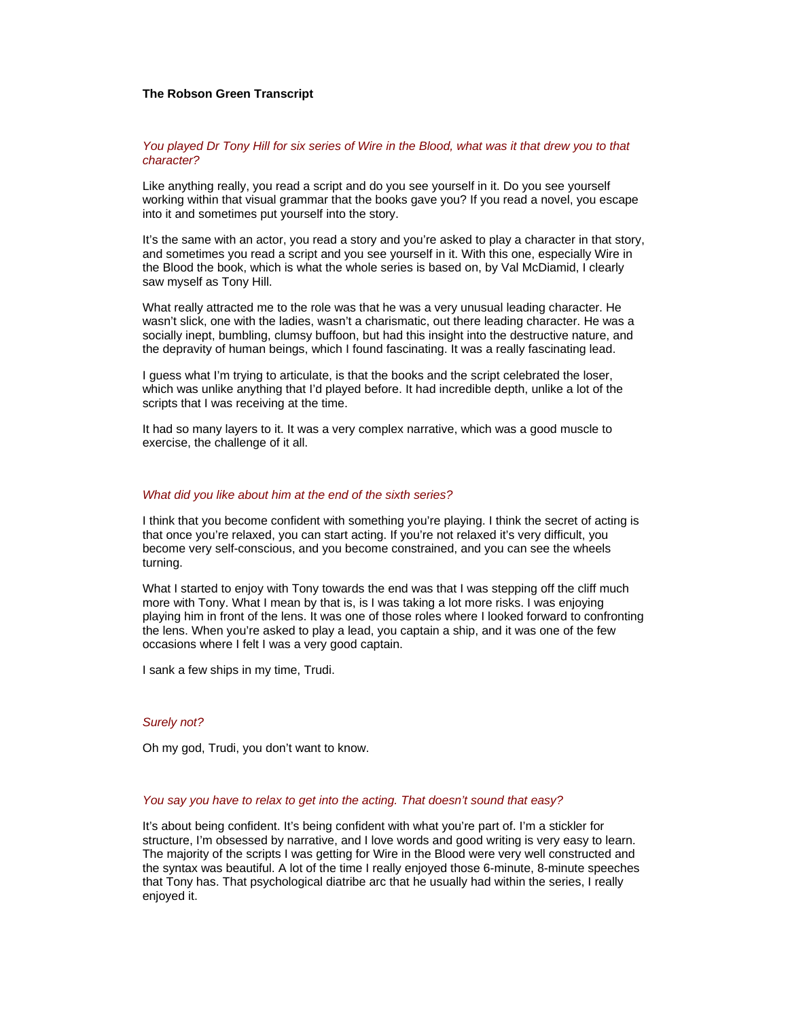## **The Robson Green Transcript**

## *You played Dr Tony Hill for six series of Wire in the Blood, what was it that drew you to that character?*

Like anything really, you read a script and do you see yourself in it. Do you see yourself working within that visual grammar that the books gave you? If you read a novel, you escape into it and sometimes put yourself into the story.

It's the same with an actor, you read a story and you're asked to play a character in that story, and sometimes you read a script and you see yourself in it. With this one, especially Wire in the Blood the book, which is what the whole series is based on, by Val McDiamid, I clearly saw myself as Tony Hill.

What really attracted me to the role was that he was a very unusual leading character. He wasn't slick, one with the ladies, wasn't a charismatic, out there leading character. He was a socially inept, bumbling, clumsy buffoon, but had this insight into the destructive nature, and the depravity of human beings, which I found fascinating. It was a really fascinating lead.

I guess what I'm trying to articulate, is that the books and the script celebrated the loser, which was unlike anything that I'd played before. It had incredible depth, unlike a lot of the scripts that I was receiving at the time.

It had so many layers to it. It was a very complex narrative, which was a good muscle to exercise, the challenge of it all.

## *What did you like about him at the end of the sixth series?*

I think that you become confident with something you're playing. I think the secret of acting is that once you're relaxed, you can start acting. If you're not relaxed it's very difficult, you become very self-conscious, and you become constrained, and you can see the wheels turning.

What I started to enjoy with Tony towards the end was that I was stepping off the cliff much more with Tony. What I mean by that is, is I was taking a lot more risks. I was enjoying playing him in front of the lens. It was one of those roles where I looked forward to confronting the lens. When you're asked to play a lead, you captain a ship, and it was one of the few occasions where I felt I was a very good captain.

I sank a few ships in my time, Trudi.

# *Surely not?*

Oh my god, Trudi, you don't want to know.

# *You say you have to relax to get into the acting. That doesn't sound that easy?*

It's about being confident. It's being confident with what you're part of. I'm a stickler for structure, I'm obsessed by narrative, and I love words and good writing is very easy to learn. The majority of the scripts I was getting for Wire in the Blood were very well constructed and the syntax was beautiful. A lot of the time I really enjoyed those 6-minute, 8-minute speeches that Tony has. That psychological diatribe arc that he usually had within the series, I really enjoyed it.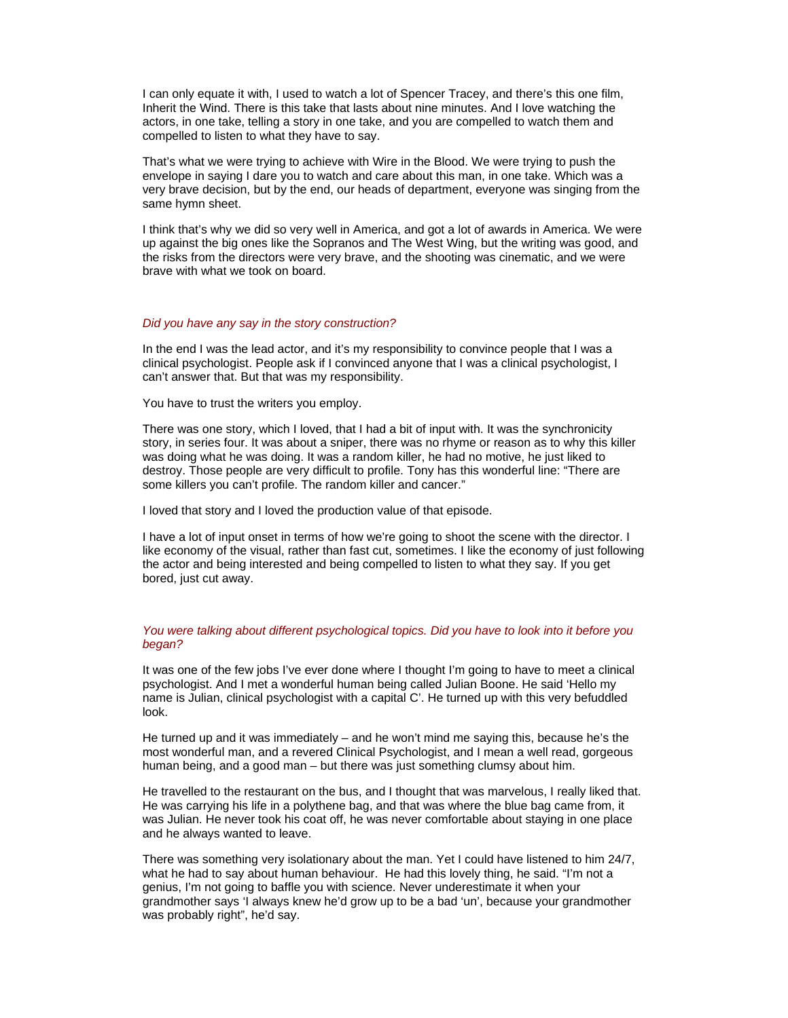I can only equate it with, I used to watch a lot of Spencer Tracey, and there's this one film, Inherit the Wind. There is this take that lasts about nine minutes. And I love watching the actors, in one take, telling a story in one take, and you are compelled to watch them and compelled to listen to what they have to say.

That's what we were trying to achieve with Wire in the Blood. We were trying to push the envelope in saying I dare you to watch and care about this man, in one take. Which was a very brave decision, but by the end, our heads of department, everyone was singing from the same hymn sheet.

I think that's why we did so very well in America, and got a lot of awards in America. We were up against the big ones like the Sopranos and The West Wing, but the writing was good, and the risks from the directors were very brave, and the shooting was cinematic, and we were brave with what we took on board.

#### *Did you have any say in the story construction?*

In the end I was the lead actor, and it's my responsibility to convince people that I was a clinical psychologist. People ask if I convinced anyone that I was a clinical psychologist, I can't answer that. But that was my responsibility.

You have to trust the writers you employ.

There was one story, which I loved, that I had a bit of input with. It was the synchronicity story, in series four. It was about a sniper, there was no rhyme or reason as to why this killer was doing what he was doing. It was a random killer, he had no motive, he just liked to destroy. Those people are very difficult to profile. Tony has this wonderful line: "There are some killers you can't profile. The random killer and cancer."

I loved that story and I loved the production value of that episode.

I have a lot of input onset in terms of how we're going to shoot the scene with the director. I like economy of the visual, rather than fast cut, sometimes. I like the economy of just following the actor and being interested and being compelled to listen to what they say. If you get bored, just cut away.

# *You were talking about different psychological topics. Did you have to look into it before you began?*

It was one of the few jobs I've ever done where I thought I'm going to have to meet a clinical psychologist. And I met a wonderful human being called Julian Boone. He said 'Hello my name is Julian, clinical psychologist with a capital C'. He turned up with this very befuddled look.

He turned up and it was immediately  $-$  and he won't mind me saying this, because he's the most wonderful man, and a revered Clinical Psychologist, and I mean a well read, gorgeous human being, and a good man – but there was just something clumsy about him.

He travelled to the restaurant on the bus, and I thought that was marvelous, I really liked that. He was carrying his life in a polythene bag, and that was where the blue bag came from, it was Julian. He never took his coat off, he was never comfortable about staying in one place and he always wanted to leave.

There was something very isolationary about the man. Yet I could have listened to him 24/7, what he had to say about human behaviour. He had this lovely thing, he said. "I'm not a genius, I'm not going to baffle you with science. Never underestimate it when your grandmother says 'I always knew he'd grow up to be a bad 'un', because your grandmother was probably right", he'd say.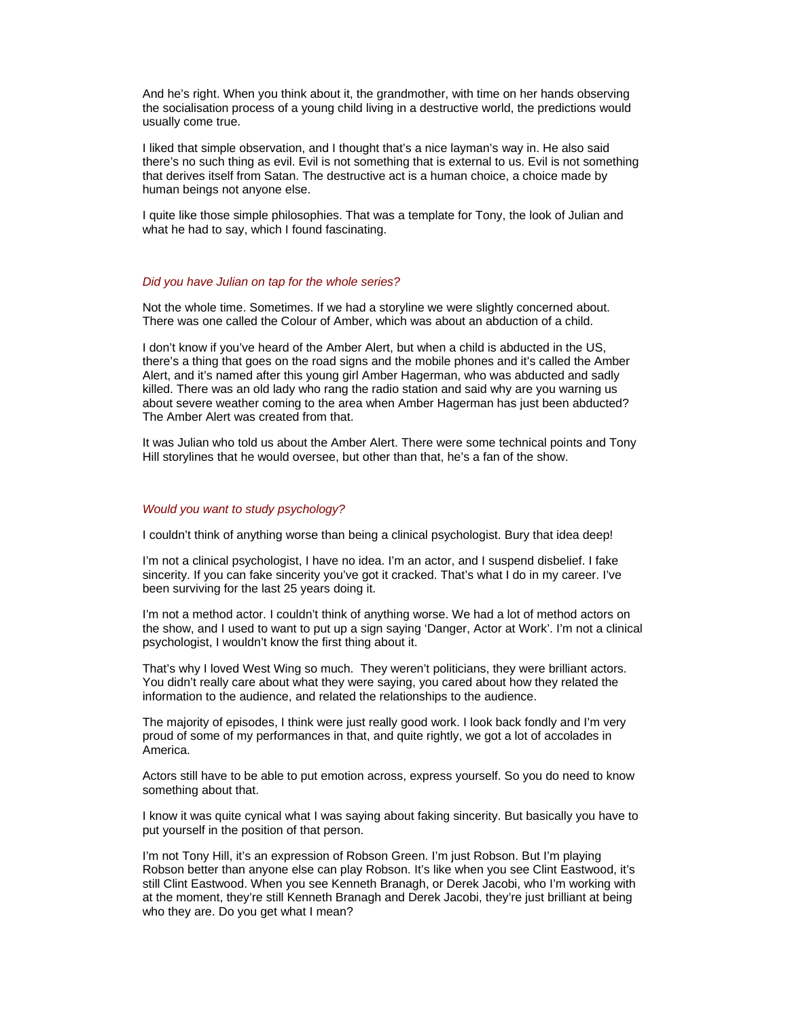And he's right. When you think about it, the grandmother, with time on her hands observing the socialisation process of a young child living in a destructive world, the predictions would usually come true.

I liked that simple observation, and I thought that's a nice layman's way in. He also said there's no such thing as evil. Evil is not something that is external to us. Evil is not something that derives itself from Satan. The destructive act is a human choice, a choice made by human beings not anyone else.

I quite like those simple philosophies. That was a template for Tony, the look of Julian and what he had to say, which I found fascinating.

#### *Did you have Julian on tap for the whole series?*

Not the whole time. Sometimes. If we had a storyline we were slightly concerned about. There was one called the Colour of Amber, which was about an abduction of a child.

I don't know if you've heard of the Amber Alert, but when a child is abducted in the US, there's a thing that goes on the road signs and the mobile phones and it's called the Amber Alert, and it's named after this young girl Amber Hagerman, who was abducted and sadly killed. There was an old lady who rang the radio station and said why are you warning us about severe weather coming to the area when Amber Hagerman has just been abducted? The Amber Alert was created from that.

It was Julian who told us about the Amber Alert. There were some technical points and Tony Hill storylines that he would oversee, but other than that, he's a fan of the show.

#### *Would you want to study psychology?*

I couldn't think of anything worse than being a clinical psychologist. Bury that idea deep!

I'm not a clinical psychologist, I have no idea. I'm an actor, and I suspend disbelief. I fake sincerity. If you can fake sincerity you've got it cracked. That's what I do in my career. I've been surviving for the last 25 years doing it.

I'm not a method actor. I couldn't think of anything worse. We had a lot of method actors on the show, and I used to want to put up a sign saying 'Danger, Actor at Work'. I'm not a clinical psychologist, I wouldn't know the first thing about it.

That's why I loved West Wing so much. They weren't politicians, they were brilliant actors. You didn't really care about what they were saying, you cared about how they related the information to the audience, and related the relationships to the audience.

The majority of episodes, I think were just really good work. I look back fondly and I'm very proud of some of my performances in that, and quite rightly, we got a lot of accolades in America.

Actors still have to be able to put emotion across, express yourself. So you do need to know something about that.

I know it was quite cynical what I was saying about faking sincerity. But basically you have to put yourself in the position of that person.

I'm not Tony Hill, it's an expression of Robson Green. I'm just Robson. But I'm playing Robson better than anyone else can play Robson. It's like when you see Clint Eastwood, it's still Clint Eastwood. When you see Kenneth Branagh, or Derek Jacobi, who I'm working with at the moment, they're still Kenneth Branagh and Derek Jacobi, they're just brilliant at being who they are. Do you get what I mean?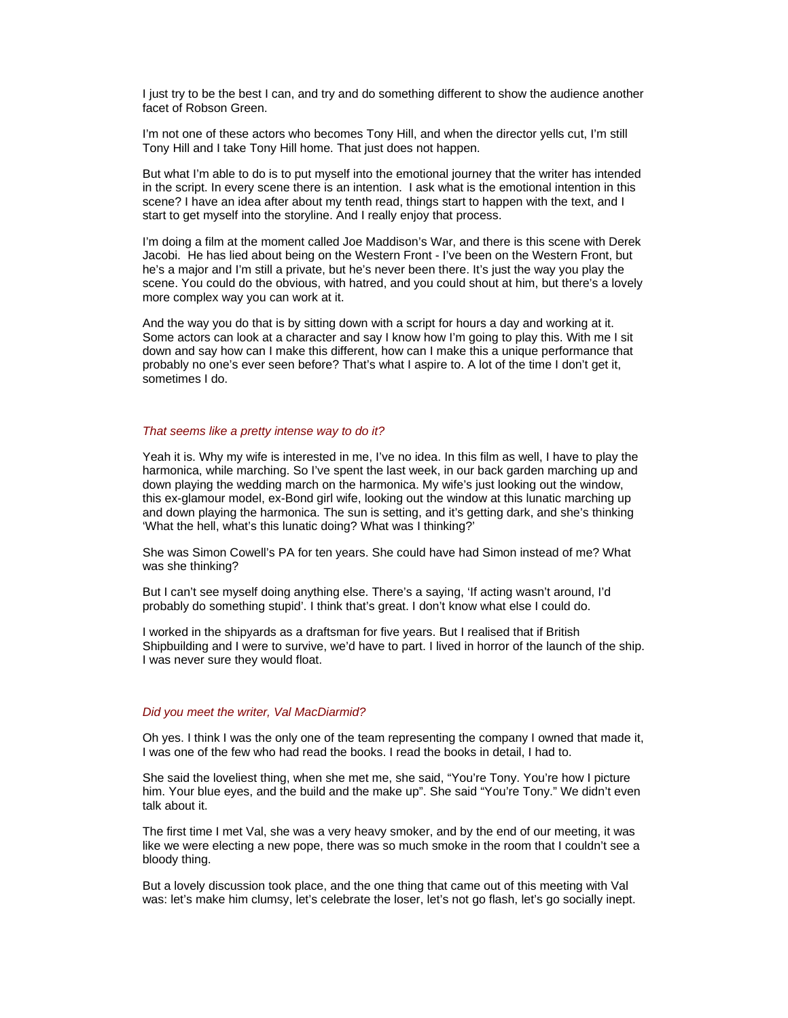I just try to be the best I can, and try and do something different to show the audience another facet of Robson Green.

I'm not one of these actors who becomes Tony Hill, and when the director yells cut, I'm still Tony Hill and I take Tony Hill home. That just does not happen.

But what I'm able to do is to put myself into the emotional journey that the writer has intended in the script. In every scene there is an intention. I ask what is the emotional intention in this scene? I have an idea after about my tenth read, things start to happen with the text, and I start to get myself into the storyline. And I really enjoy that process.

I'm doing a film at the moment called Joe Maddison's War, and there is this scene with Derek Jacobi. He has lied about being on the Western Front - I've been on the Western Front, but he's a major and I'm still a private, but he's never been there. It's just the way you play the scene. You could do the obvious, with hatred, and you could shout at him, but there's a lovely more complex way you can work at it.

And the way you do that is by sitting down with a script for hours a day and working at it. Some actors can look at a character and say I know how I'm going to play this. With me I sit down and say how can I make this different, how can I make this a unique performance that probably no one's ever seen before? That's what I aspire to. A lot of the time I don't get it, sometimes I do.

## *That seems like a pretty intense way to do it?*

Yeah it is. Why my wife is interested in me, I've no idea. In this film as well, I have to play the harmonica, while marching. So I've spent the last week, in our back garden marching up and down playing the wedding march on the harmonica. My wife's just looking out the window, this ex-glamour model, ex-Bond girl wife, looking out the window at this lunatic marching up and down playing the harmonica. The sun is setting, and it's getting dark, and she's thinking 'What the hell, what's this lunatic doing? What was I thinking?'

She was Simon Cowell's PA for ten years. She could have had Simon instead of me? What was she thinking?

But I can't see myself doing anything else. There's a saying, 'If acting wasn't around, I'd probably do something stupid'. I think that's great. I don't know what else I could do.

I worked in the shipyards as a draftsman for five years. But I realised that if British Shipbuilding and I were to survive, we'd have to part. I lived in horror of the launch of the ship. I was never sure they would float.

#### *Did you meet the writer, Val MacDiarmid?*

Oh yes. I think I was the only one of the team representing the company I owned that made it, I was one of the few who had read the books. I read the books in detail, I had to.

She said the loveliest thing, when she met me, she said, "You're Tony. You're how I picture him. Your blue eyes, and the build and the make up". She said "You're Tony." We didn't even talk about it.

The first time I met Val, she was a very heavy smoker, and by the end of our meeting, it was like we were electing a new pope, there was so much smoke in the room that I couldn't see a bloody thing.

But a lovely discussion took place, and the one thing that came out of this meeting with Val was: let's make him clumsy, let's celebrate the loser, let's not go flash, let's go socially inept.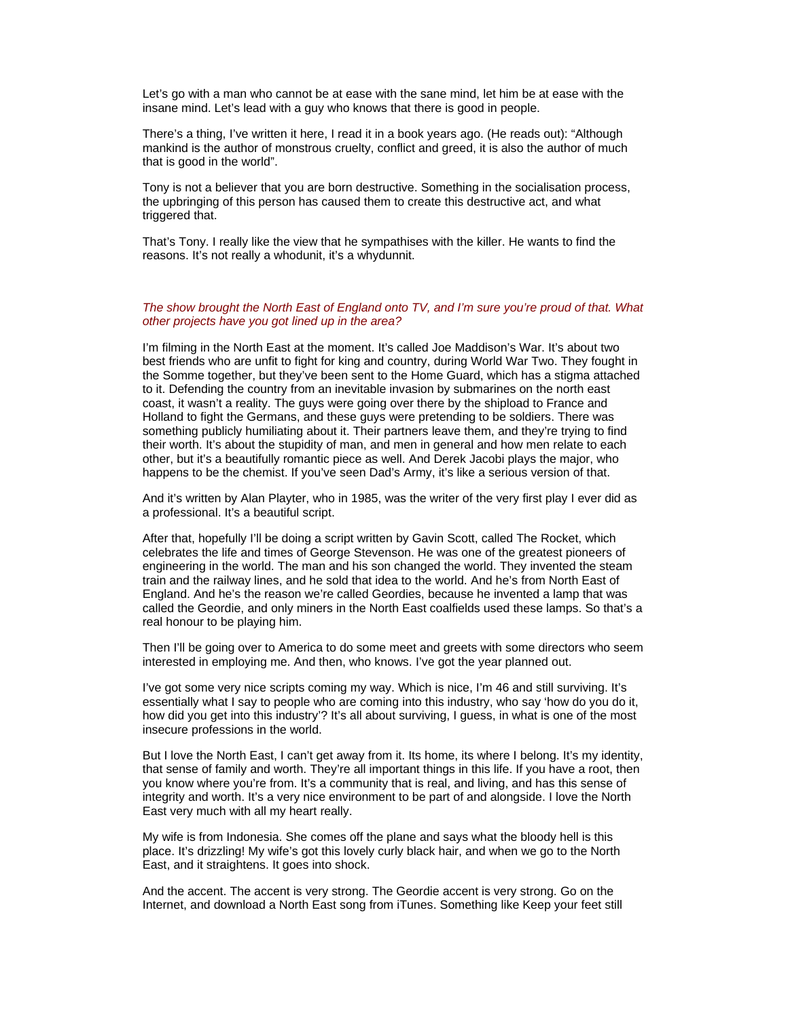Let's go with a man who cannot be at ease with the sane mind, let him be at ease with the insane mind. Let's lead with a guy who knows that there is good in people.

There's a thing, I've written it here, I read it in a book years ago. (He reads out): "Although mankind is the author of monstrous cruelty, conflict and greed, it is also the author of much that is good in the world".

Tony is not a believer that you are born destructive. Something in the socialisation process, the upbringing of this person has caused them to create this destructive act, and what triggered that.

That's Tony. I really like the view that he sympathises with the killer. He wants to find the reasons. It's not really a whodunit, it's a whydunnit.

# *The show brought the North East of England onto TV, and I'm sure you're proud of that. What other projects have you got lined up in the area?*

I'm filming in the North East at the moment. It's called Joe Maddison's War. It's about two best friends who are unfit to fight for king and country, during World War Two. They fought in the Somme together, but they've been sent to the Home Guard, which has a stigma attached to it. Defending the country from an inevitable invasion by submarines on the north east coast, it wasn't a reality. The guys were going over there by the shipload to France and Holland to fight the Germans, and these guys were pretending to be soldiers. There was something publicly humiliating about it. Their partners leave them, and they're trying to find their worth. It's about the stupidity of man, and men in general and how men relate to each other, but it's a beautifully romantic piece as well. And Derek Jacobi plays the major, who happens to be the chemist. If you've seen Dad's Army, it's like a serious version of that.

And it's written by Alan Playter, who in 1985, was the writer of the very first play I ever did as a professional. It's a beautiful script.

After that, hopefully I'll be doing a script written by Gavin Scott, called The Rocket, which celebrates the life and times of George Stevenson. He was one of the greatest pioneers of engineering in the world. The man and his son changed the world. They invented the steam train and the railway lines, and he sold that idea to the world. And he's from North East of England. And he's the reason we're called Geordies, because he invented a lamp that was called the Geordie, and only miners in the North East coalfields used these lamps. So that's a real honour to be playing him.

Then I'll be going over to America to do some meet and greets with some directors who seem interested in employing me. And then, who knows. I've got the year planned out.

I've got some very nice scripts coming my way. Which is nice, I'm 46 and still surviving. It's essentially what I say to people who are coming into this industry, who say 'how do you do it, how did you get into this industry'? It's all about surviving, I guess, in what is one of the most insecure professions in the world.

But I love the North East, I can't get away from it. Its home, its where I belong. It's my identity, that sense of family and worth. They're all important things in this life. If you have a root, then you know where you're from. It's a community that is real, and living, and has this sense of integrity and worth. It's a very nice environment to be part of and alongside. I love the North East very much with all my heart really.

My wife is from Indonesia. She comes off the plane and says what the bloody hell is this place. It's drizzling! My wife's got this lovely curly black hair, and when we go to the North East, and it straightens. It goes into shock.

And the accent. The accent is very strong. The Geordie accent is very strong. Go on the Internet, and download a North East song from iTunes. Something like Keep your feet still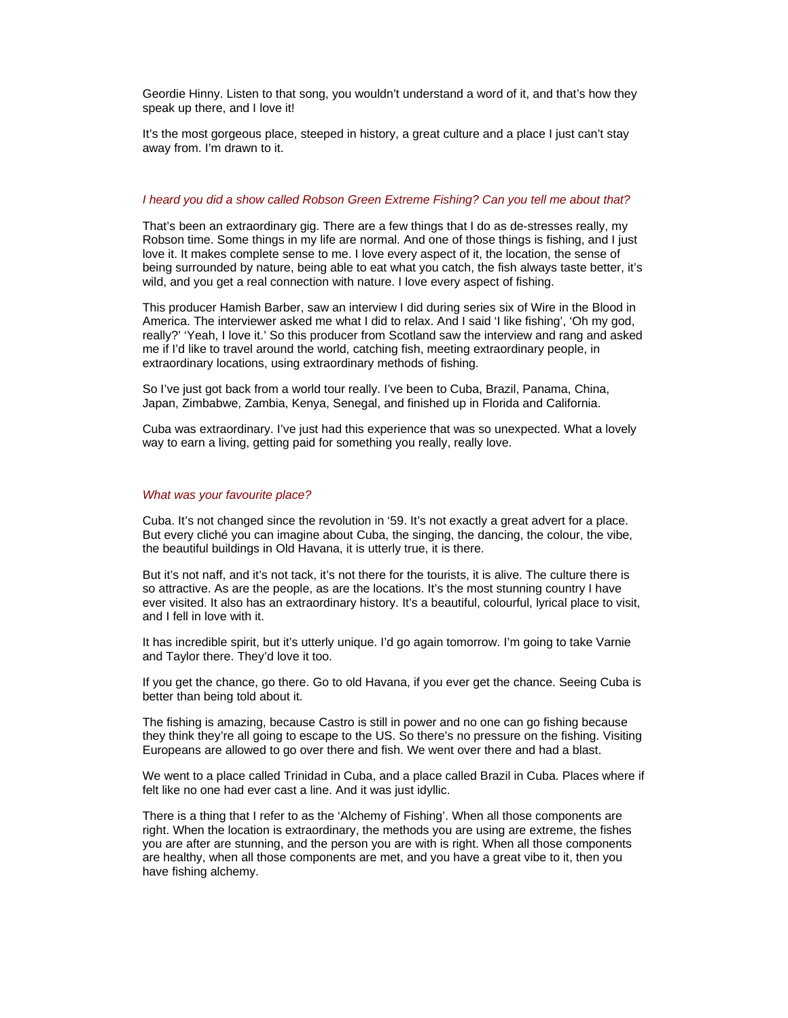Geordie Hinny. Listen to that song, you wouldn't understand a word of it, and that's how they speak up there, and I love it!

It's the most gorgeous place, steeped in history, a great culture and a place I just can't stay away from. I'm drawn to it.

## *I heard you did a show called Robson Green Extreme Fishing? Can you tell me about that?*

That's been an extraordinary gig. There are a few things that I do as de-stresses really, my Robson time. Some things in my life are normal. And one of those things is fishing, and I just love it. It makes complete sense to me. I love every aspect of it, the location, the sense of being surrounded by nature, being able to eat what you catch, the fish always taste better, it's wild, and you get a real connection with nature. I love every aspect of fishing.

This producer Hamish Barber, saw an interview I did during series six of Wire in the Blood in America. The interviewer asked me what I did to relax. And I said 'I like fishing', 'Oh my god, really?' 'Yeah, I love it.' So this producer from Scotland saw the interview and rang and asked me if I'd like to travel around the world, catching fish, meeting extraordinary people, in extraordinary locations, using extraordinary methods of fishing.

So I've just got back from a world tour really. I've been to Cuba, Brazil, Panama, China, Japan, Zimbabwe, Zambia, Kenya, Senegal, and finished up in Florida and California.

Cuba was extraordinary. I've just had this experience that was so unexpected. What a lovely way to earn a living, getting paid for something you really, really love.

## *What was your favourite place?*

Cuba. It's not changed since the revolution in '59. It's not exactly a great advert for a place. But every cliché you can imagine about Cuba, the singing, the dancing, the colour, the vibe, the beautiful buildings in Old Havana, it is utterly true, it is there.

But it's not naff, and it's not tack, it's not there for the tourists, it is alive. The culture there is so attractive. As are the people, as are the locations. It's the most stunning country I have ever visited. It also has an extraordinary history. It's a beautiful, colourful, lyrical place to visit, and I fell in love with it.

It has incredible spirit, but it's utterly unique. I'd go again tomorrow. I'm going to take Varnie and Taylor there. They'd love it too.

If you get the chance, go there. Go to old Havana, if you ever get the chance. Seeing Cuba is better than being told about it.

The fishing is amazing, because Castro is still in power and no one can go fishing because they think they're all going to escape to the US. So there's no pressure on the fishing. Visiting Europeans are allowed to go over there and fish. We went over there and had a blast.

We went to a place called Trinidad in Cuba, and a place called Brazil in Cuba. Places where if felt like no one had ever cast a line. And it was just idyllic.

There is a thing that I refer to as the 'Alchemy of Fishing'. When all those components are right. When the location is extraordinary, the methods you are using are extreme, the fishes you are after are stunning, and the person you are with is right. When all those components are healthy, when all those components are met, and you have a great vibe to it, then you have fishing alchemy.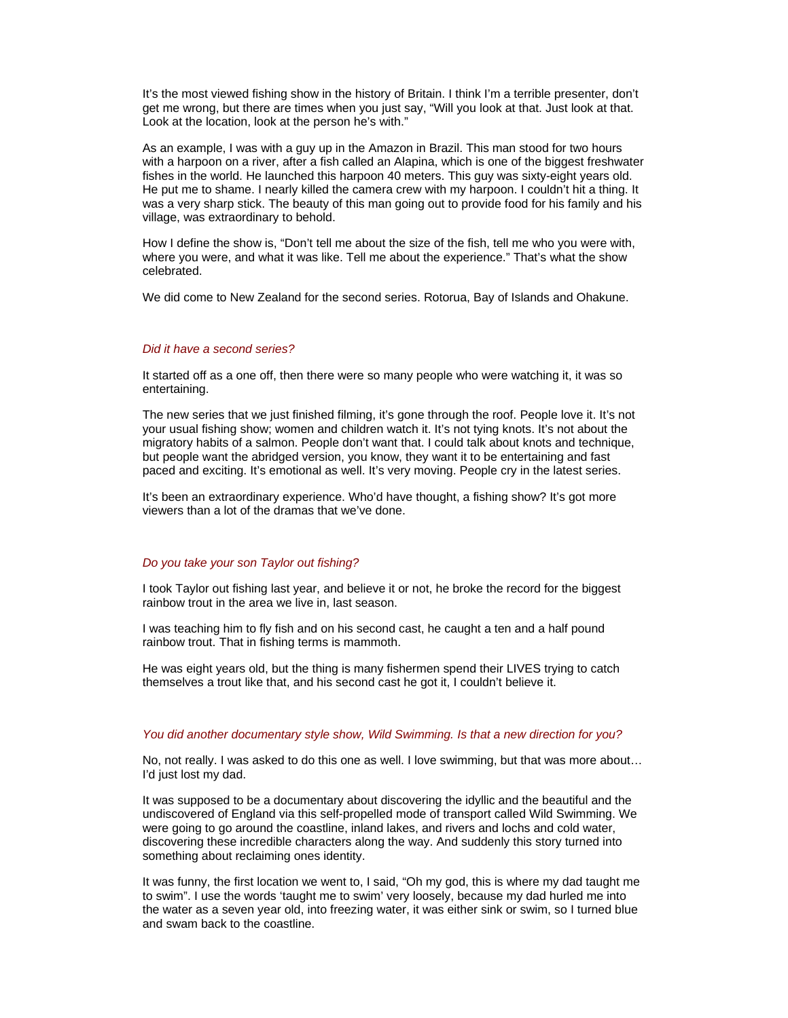It's the most viewed fishing show in the history of Britain. I think I'm a terrible presenter, don't get me wrong, but there are times when you just say, "Will you look at that. Just look at that. Look at the location, look at the person he's with."

As an example, I was with a guy up in the Amazon in Brazil. This man stood for two hours with a harpoon on a river, after a fish called an Alapina, which is one of the biggest freshwater fishes in the world. He launched this harpoon 40 meters. This guy was sixty-eight years old. He put me to shame. I nearly killed the camera crew with my harpoon. I couldn't hit a thing. It was a very sharp stick. The beauty of this man going out to provide food for his family and his village, was extraordinary to behold.

How I define the show is, "Don't tell me about the size of the fish, tell me who you were with, where you were, and what it was like. Tell me about the experience." That's what the show celebrated.

We did come to New Zealand for the second series. Rotorua, Bay of Islands and Ohakune.

# *Did it have a second series?*

It started off as a one off, then there were so many people who were watching it, it was so entertaining.

The new series that we just finished filming, it's gone through the roof. People love it. It's not your usual fishing show; women and children watch it. It's not tying knots. It's not about the migratory habits of a salmon. People don't want that. I could talk about knots and technique, but people want the abridged version, you know, they want it to be entertaining and fast paced and exciting. It's emotional as well. It's very moving. People cry in the latest series.

It's been an extraordinary experience. Who'd have thought, a fishing show? It's got more viewers than a lot of the dramas that we've done.

## *Do you take your son Taylor out fishing?*

I took Taylor out fishing last year, and believe it or not, he broke the record for the biggest rainbow trout in the area we live in, last season.

I was teaching him to fly fish and on his second cast, he caught a ten and a half pound rainbow trout. That in fishing terms is mammoth.

He was eight years old, but the thing is many fishermen spend their LIVES trying to catch themselves a trout like that, and his second cast he got it, I couldn't believe it.

# *You did another documentary style show, Wild Swimming. Is that a new direction for you?*

No, not really. I was asked to do this one as well. I love swimming, but that was more about… I'd just lost my dad.

It was supposed to be a documentary about discovering the idyllic and the beautiful and the undiscovered of England via this self-propelled mode of transport called Wild Swimming. We were going to go around the coastline, inland lakes, and rivers and lochs and cold water, discovering these incredible characters along the way. And suddenly this story turned into something about reclaiming ones identity.

It was funny, the first location we went to, I said, "Oh my god, this is where my dad taught me to swim". I use the words 'taught me to swim' very loosely, because my dad hurled me into the water as a seven year old, into freezing water, it was either sink or swim, so I turned blue and swam back to the coastline.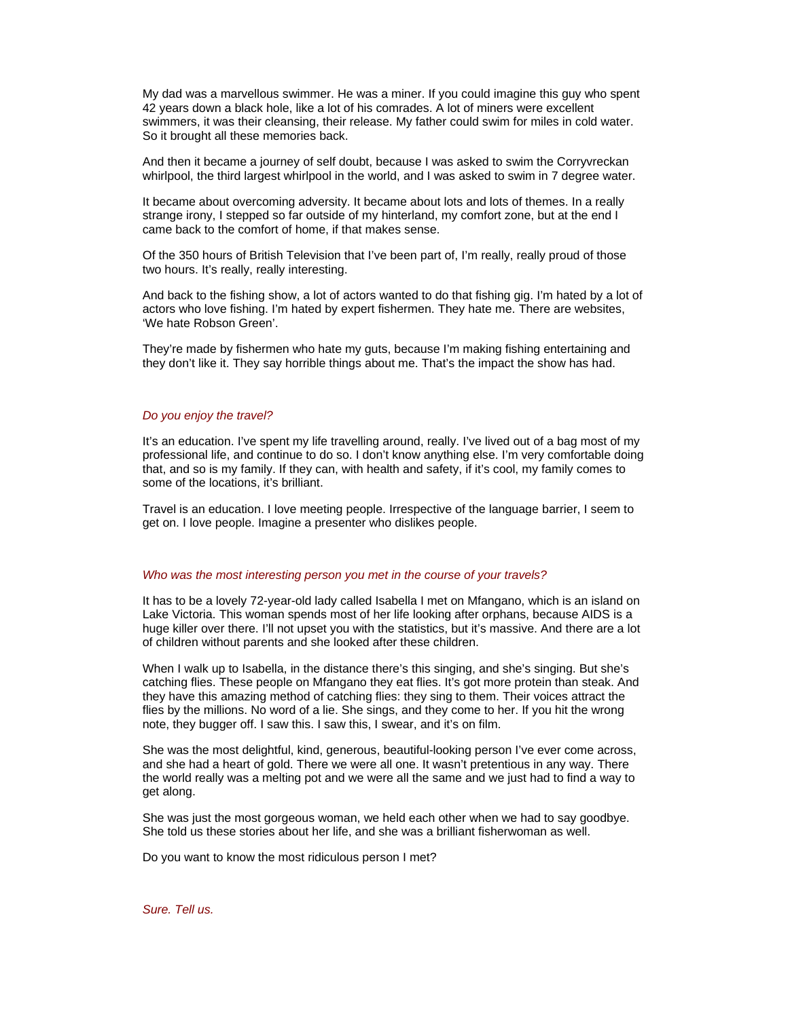My dad was a marvellous swimmer. He was a miner. If you could imagine this guy who spent 42 years down a black hole, like a lot of his comrades. A lot of miners were excellent swimmers, it was their cleansing, their release. My father could swim for miles in cold water. So it brought all these memories back.

And then it became a journey of self doubt, because I was asked to swim the Corryvreckan whirlpool, the third largest whirlpool in the world, and I was asked to swim in 7 degree water.

It became about overcoming adversity. It became about lots and lots of themes. In a really strange irony, I stepped so far outside of my hinterland, my comfort zone, but at the end I came back to the comfort of home, if that makes sense.

Of the 350 hours of British Television that I've been part of, I'm really, really proud of those two hours. It's really, really interesting.

And back to the fishing show, a lot of actors wanted to do that fishing gig. I'm hated by a lot of actors who love fishing. I'm hated by expert fishermen. They hate me. There are websites, 'We hate Robson Green'.

They're made by fishermen who hate my guts, because I'm making fishing entertaining and they don't like it. They say horrible things about me. That's the impact the show has had.

### *Do you enjoy the travel?*

It's an education. I've spent my life travelling around, really. I've lived out of a bag most of my professional life, and continue to do so. I don't know anything else. I'm very comfortable doing that, and so is my family. If they can, with health and safety, if it's cool, my family comes to some of the locations, it's brilliant.

Travel is an education. I love meeting people. Irrespective of the language barrier, I seem to get on. I love people. Imagine a presenter who dislikes people.

#### *Who was the most interesting person you met in the course of your travels?*

It has to be a lovely 72-year-old lady called Isabella I met on Mfangano, which is an island on Lake Victoria. This woman spends most of her life looking after orphans, because AIDS is a huge killer over there. I'll not upset you with the statistics, but it's massive. And there are a lot of children without parents and she looked after these children.

When I walk up to Isabella, in the distance there's this singing, and she's singing. But she's catching flies. These people on Mfangano they eat flies. It's got more protein than steak. And they have this amazing method of catching flies: they sing to them. Their voices attract the flies by the millions. No word of a lie. She sings, and they come to her. If you hit the wrong note, they bugger off. I saw this. I saw this, I swear, and it's on film.

She was the most delightful, kind, generous, beautiful-looking person I've ever come across, and she had a heart of gold. There we were all one. It wasn't pretentious in any way. There the world really was a melting pot and we were all the same and we just had to find a way to get along.

She was just the most gorgeous woman, we held each other when we had to say goodbye. She told us these stories about her life, and she was a brilliant fisherwoman as well.

Do you want to know the most ridiculous person I met?

*Sure. Tell us.*